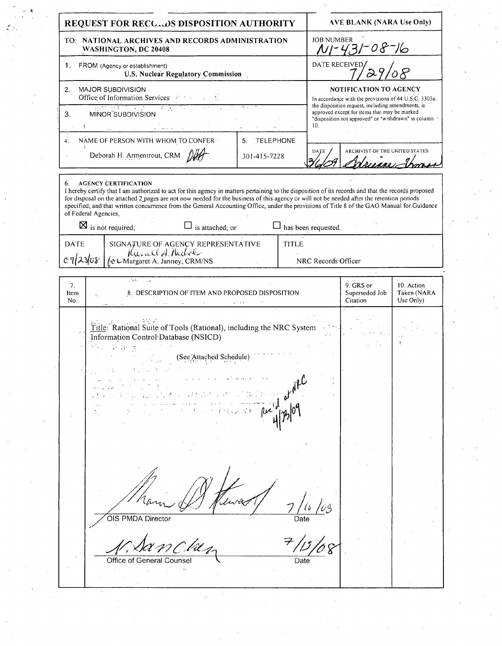| <b>JOB NUMBER</b><br>TO: NATIONAL ARCHIVES AND RECORDS ADMINISTRATION<br>NI-431-08-16<br><b>WASHINGTON, DC 20408</b><br>DATE RECEIVED<br>FROM (Agency or establishment)<br>1.<br><b>U.S. Nuclear Regulatory Commission</b><br>MAJOR SUBDIVISION<br>NOTIFICATION TO AGENCY<br>2.<br>Office of Information Services: $\mathcal{F}^{\text{max}}$<br>In accordance with the provisions of 44 U.S.C. 3303a,<br>the disposition request, including amendments, is<br><u>स्ति सुखला प्राप्ता</u><br>ਕ ਮੁਲਾ<br>approved except for items that may be marked<br>3.<br>MINOR SUBDIVISION<br>"disposition not approved" or "withdrawn" in column<br>10.<br>NAME OF PERSON WITH WHOM TO CONFER<br><b>TELEPHONE</b><br>5.<br>4.<br>ARCHIVIST OF THE UNITED STATES<br>DATE<br>Deborah H. Armentrout, CRM<br>301-415-7228<br>Adrience Irm<br>6. AGENCY CERTIFICATION<br>I hereby certify that I am authorized to act for this agency in matters pertaining to the disposition of its records and that the records proposed<br>for disposal on the attached 2 pages are not now needed for the business of this agency or will not be needed after the retention periods<br>specified; and that written concurrence from the General Accounting Office, under the provisions of Title 8 of the GAO Manual for Guidance<br>of Federal Agencies,<br>$\boxtimes$ is not required;<br>$\Box$ is attached; or<br>$\Box$ has been requested.<br>SIGNATURE OF AGENCY REPRESENTATIVE<br>(Compared A. Juney, CRM/NS)<br><b>DATE</b><br><b>TITLE</b><br>c7/23/08<br>NRC Records Officer<br>$\mathcal{A}^{\mathcal{A}}$ , and $\mathcal{A}^{\mathcal{A}}$<br>7 <sub>1</sub><br>9. GRS or<br>10. Action<br>Superseded Job<br>Taken (NARA<br>8. DESCRIPTION OF ITEM AND PROPOSED DISPOSITION<br>Item<br>Citation<br>Use Only)<br>No.<br>Title: Rational Suite of Tools (Rational), including the NRC System<br>Information Control Database (NSICD)<br>1750 年度号<br>(See Attached Schedule) | REQUEST FOR RECC. OS DISPOSITION AUTHORITY | <b>AVE BLANK (NARA Use Only)</b> |
|---------------------------------------------------------------------------------------------------------------------------------------------------------------------------------------------------------------------------------------------------------------------------------------------------------------------------------------------------------------------------------------------------------------------------------------------------------------------------------------------------------------------------------------------------------------------------------------------------------------------------------------------------------------------------------------------------------------------------------------------------------------------------------------------------------------------------------------------------------------------------------------------------------------------------------------------------------------------------------------------------------------------------------------------------------------------------------------------------------------------------------------------------------------------------------------------------------------------------------------------------------------------------------------------------------------------------------------------------------------------------------------------------------------------------------------------------------------------------------------------------------------------------------------------------------------------------------------------------------------------------------------------------------------------------------------------------------------------------------------------------------------------------------------------------------------------------------------------------------------------------------------------------------------------------------------------------------------|--------------------------------------------|----------------------------------|
|                                                                                                                                                                                                                                                                                                                                                                                                                                                                                                                                                                                                                                                                                                                                                                                                                                                                                                                                                                                                                                                                                                                                                                                                                                                                                                                                                                                                                                                                                                                                                                                                                                                                                                                                                                                                                                                                                                                                                               |                                            |                                  |
|                                                                                                                                                                                                                                                                                                                                                                                                                                                                                                                                                                                                                                                                                                                                                                                                                                                                                                                                                                                                                                                                                                                                                                                                                                                                                                                                                                                                                                                                                                                                                                                                                                                                                                                                                                                                                                                                                                                                                               |                                            |                                  |
|                                                                                                                                                                                                                                                                                                                                                                                                                                                                                                                                                                                                                                                                                                                                                                                                                                                                                                                                                                                                                                                                                                                                                                                                                                                                                                                                                                                                                                                                                                                                                                                                                                                                                                                                                                                                                                                                                                                                                               |                                            |                                  |
|                                                                                                                                                                                                                                                                                                                                                                                                                                                                                                                                                                                                                                                                                                                                                                                                                                                                                                                                                                                                                                                                                                                                                                                                                                                                                                                                                                                                                                                                                                                                                                                                                                                                                                                                                                                                                                                                                                                                                               |                                            |                                  |
|                                                                                                                                                                                                                                                                                                                                                                                                                                                                                                                                                                                                                                                                                                                                                                                                                                                                                                                                                                                                                                                                                                                                                                                                                                                                                                                                                                                                                                                                                                                                                                                                                                                                                                                                                                                                                                                                                                                                                               |                                            |                                  |
|                                                                                                                                                                                                                                                                                                                                                                                                                                                                                                                                                                                                                                                                                                                                                                                                                                                                                                                                                                                                                                                                                                                                                                                                                                                                                                                                                                                                                                                                                                                                                                                                                                                                                                                                                                                                                                                                                                                                                               |                                            |                                  |
|                                                                                                                                                                                                                                                                                                                                                                                                                                                                                                                                                                                                                                                                                                                                                                                                                                                                                                                                                                                                                                                                                                                                                                                                                                                                                                                                                                                                                                                                                                                                                                                                                                                                                                                                                                                                                                                                                                                                                               |                                            |                                  |
|                                                                                                                                                                                                                                                                                                                                                                                                                                                                                                                                                                                                                                                                                                                                                                                                                                                                                                                                                                                                                                                                                                                                                                                                                                                                                                                                                                                                                                                                                                                                                                                                                                                                                                                                                                                                                                                                                                                                                               |                                            |                                  |
|                                                                                                                                                                                                                                                                                                                                                                                                                                                                                                                                                                                                                                                                                                                                                                                                                                                                                                                                                                                                                                                                                                                                                                                                                                                                                                                                                                                                                                                                                                                                                                                                                                                                                                                                                                                                                                                                                                                                                               |                                            |                                  |
|                                                                                                                                                                                                                                                                                                                                                                                                                                                                                                                                                                                                                                                                                                                                                                                                                                                                                                                                                                                                                                                                                                                                                                                                                                                                                                                                                                                                                                                                                                                                                                                                                                                                                                                                                                                                                                                                                                                                                               |                                            |                                  |
|                                                                                                                                                                                                                                                                                                                                                                                                                                                                                                                                                                                                                                                                                                                                                                                                                                                                                                                                                                                                                                                                                                                                                                                                                                                                                                                                                                                                                                                                                                                                                                                                                                                                                                                                                                                                                                                                                                                                                               |                                            |                                  |
| OIS PMDA Director<br>Date<br>Office of General Counsel<br>Date                                                                                                                                                                                                                                                                                                                                                                                                                                                                                                                                                                                                                                                                                                                                                                                                                                                                                                                                                                                                                                                                                                                                                                                                                                                                                                                                                                                                                                                                                                                                                                                                                                                                                                                                                                                                                                                                                                |                                            |                                  |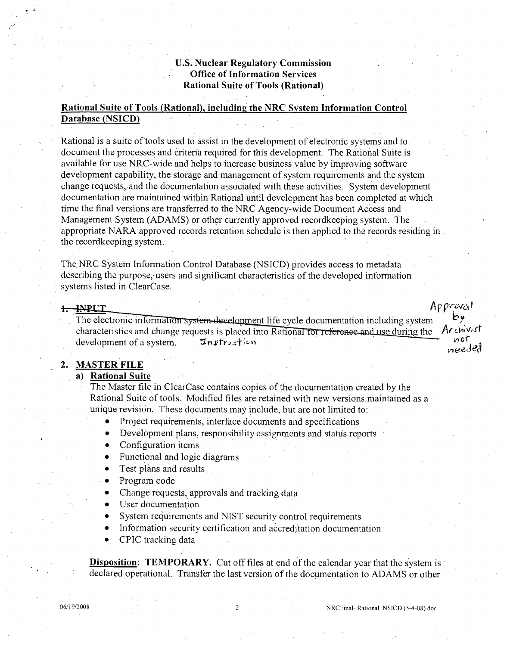# **U.S.** Nuclear Regulatory Commission Office of Information Services Rational Suite of Tools (Rational)

# Rational Suite of Tools (Rational), including the NRC System Information Control Database **(NSICD)**

Rational is a suite of tools used to assist in the development of electronic systems and to document the processes and criteria required for this development. The Rational Suite is available for use NRC-wide and helps to increase business value by improving software development capability, the storage and management of system requirements and the system change requests, and the documentation associated with these activities. System development documentation are maintained within Rational until development has been completed at which time the final versions are transferred to the NRC Agency-wide Document Access and Management System (ADAMS). or other currently approved recordkeeping system. The appropriate NARA approved records retention schedule is then applied to the records residing in the recordkeeping system.

The NRC System Information Control Database (NSICD) provides access to metadata describing the purpose, users and significant characteristics of the developed information systems listed in ClearCase.

#### 1. INPUT

The electronic information system development life cycle documentation including system characteristics and change requests is placed into Rational for reference and use during the *Archivat* development of a system. **Instruction** needed

# 2. MASTER **FILE**

### a) Rational Suite

The Master file in ClearCase contains copies of the documentation created by the Rational Suite of tools. Modified files are retained with new versions maintained as a unique revision. These documents may include, but are not limited to:

- Project requirements, interface documents and specifications
- Development plans, responsibility assignments and status reports
- Configuration items
- Functional and logic diagrams
- Test plans and results.
- Program code
- Change requests, approvals and tracking data
- User documentation
- **0** System requirements and NIST security control requirements
- **0** Information security certification and accreditation documentation
- **0** CPIC tracking data

**Disposition: TEMPORARY.** Cut off files at end of the calendar year that the system is declared operational. Transfer the last version of the documentation to ADAMS or other

Approval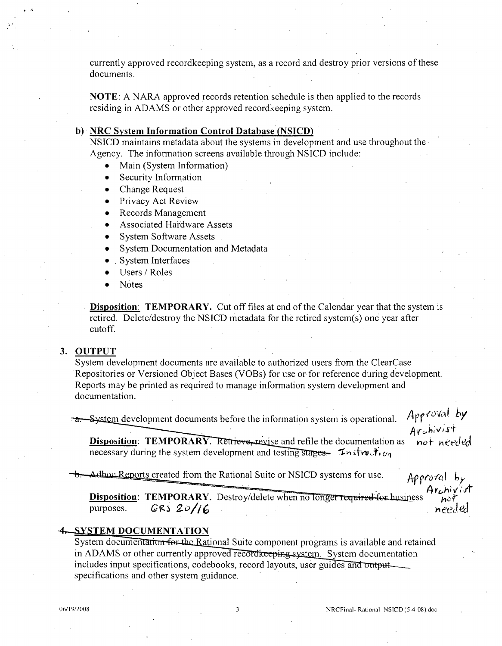currently approved recordkeeping system, as a record and destroy prior versions of these documents.

**NOTE: A** NARA approved records retention schedule is then applied to the records residing in ADAMS or other approved recordkeeping system.

## **b)** NRC System Information Control Database **(NSICD)**

NSICD maintains metadata about the systems in development and use throughout the. Agency. The information screens available through NSICD include:

- **"** Main (System Information)
- **"** Security Information
- **"** Change Request
- **"** Privacy Act Review
- **"** Records Management
- **"** Associated Hardware Assets
- System Software Assets
- **System Documentation and Metadata**
- **9** System Interfaces
- **"** Users **/** Roles
- **"** Notes

Disposition: TEMPORARY. Cut off files at end of the Calendar year that the system is retired. Delete/destroy the NSICD metadata for the retired system(s) one year after cutoff.

#### **3. OUTPUT**

**.** 4

System development documents are available to authorized users from the ClearCase Repositories or Versioned Object Bases (VOBs) for use or-for reference during development. Reports may be printed as required to manage information system development and documentation.

Fa. System development documents before the information system is operational. Approval by<br>Archivist<br>Disposition: TEMPORARY. Retrieve, revise and refile the documentation as not needed **Disposition: TEMPORARY.** Retrieve, revise and refile the documentation as necessary during the system development and testing stages. In twite  $\ddot{r}_{i}$ .

Adhoc Reports created from the Rational Suite or NSICD systems for use.  $\pi$  *Approval*  $\mathbf{b}_y$ 

Disposition: TEMPORARY. Destroy/delete when no longer required for business needed purposes. *GRS 20/* 

#### **4. SYSTEM DOCUMENTATION**

System documentation for the Rational Suite component programs is available and retained in ADAMS or other currently approved record to evidence system. System documentation includes input specifications, codebooks, record layouts, user guides and output<br>specifications and other system guidance.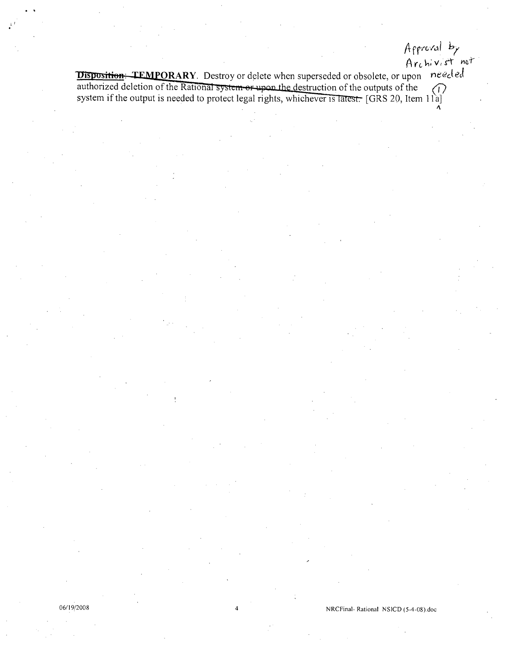**ORARY.** Destroy or delete when superseded or obsolete, or upon *needed* authorized deletion of the Rational system or upon the destruction of the outputs of the authorized deletion of the Rational system or upon the destruction of the outputs of the system if the output is needed to protect legal rights, whichever is latest. [GRS 20, Item 11a] **A**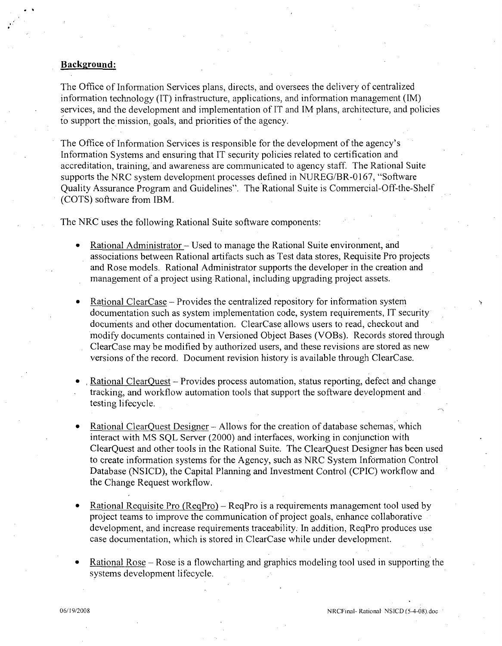#### Background:

The Office of Information Services plans, directs, and oversees the delivery of centralized information technology (IT) infrastructure, applications, and information management (IM) services, and the development and implementation of IT and IM plans, architecture, and policies to support the mission, goals, and priorities of the agency.

The Office of Information Services is responsible for the development of the agency's Information Systems and ensuring that IT security policies related to certification and accreditation, training, and awareness are communicated to agency staff. The Rational Suite supports the NRC system development processes defined in NUREG/BR-0167, "Software Quality Assurance Program and Guidelines". The Rational Suite is Commercial-Off-the-Shelf (COTS) software from IBM.

The NRC uses the following Rational Suite software components:

- Rational Administrator Used to manage the Rational Suite environment, and associations between Rational artifacts such as Test data stores, Requisite Pro projects and Rose models. Rational Administrator supports the developer in the creation and management of a project using Rational, including upgrading project assets.
- **"** Rational ClearCase Provides the centralized repository for information system documentation such as system implementation code, system requirements, IT security documents and other documentation. ClearCase allows users to read, checkout and modify documents contained in Versioned Object Bases (VOBs). Records stored through ClearCase may be modified by authorized users, and these revisions are stored as new versions of the record. Document revision history is available through ClearCase.
- , Rational ClearQuest Provides process automation, status reporting, defect and change tracking, and workflow automation tools that support the software development and testing lifecycle.
- Rational ClearQuest Designer Allows for the creation of database schemas, which interact with MS SQL Server (2000) and interfaces, working in conjunction with ClearQuest and other tools in the Rational Suite. The ClearQuest Designer has been used to create information systems for the Agency, such as NRC System Information Control Database (NSICD), the Capital Planning and Investment Control (CPIC) workflow and the Change Request workflow.
- Rational Requisite Pro (ReqPro) ReqPro is a requirements management tool used by project teams to improve the communication of project goals, enhance collaborative development, and increase requirements traceability. In addition, ReqPro produces use case documentation, which is stored in ClearCase while under development.
- Rational Rose Rose is a flowcharting and graphics modeling tool used in supporting the systems development lifecycle.